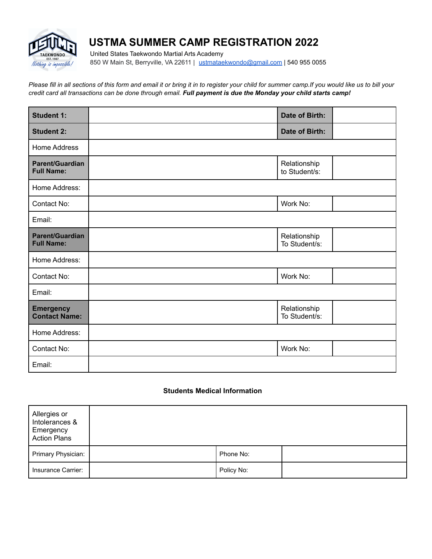

# **USTMA SUMMER CAMP REGISTRATION 2022**

United States Taekwondo Martial Arts Academy 850 W Main St, Berryville, VA 22611 | [ustmataekwondo@gmail.com](mailto:ustmataekwondo@gmail.com) | 540 955 0055

*Please fill in all sections of this form and email it or bring it in to register your child for summer camp.If you would like us to bill your credit card all transactions can be done through email. Full payment is due the Monday your child starts camp!*

| <b>Student 1:</b>                           | Date of Birth:                |
|---------------------------------------------|-------------------------------|
| <b>Student 2:</b>                           | Date of Birth:                |
| Home Address                                |                               |
| Parent/Guardian<br><b>Full Name:</b>        | Relationship<br>to Student/s: |
| Home Address:                               |                               |
| Contact No:                                 | Work No:                      |
| Email:                                      |                               |
| <b>Parent/Guardian</b><br><b>Full Name:</b> | Relationship<br>To Student/s: |
| Home Address:                               |                               |
| Contact No:                                 | Work No:                      |
| Email:                                      |                               |
| <b>Emergency</b><br><b>Contact Name:</b>    | Relationship<br>To Student/s: |
| Home Address:                               |                               |
| Contact No:                                 | Work No:                      |
| Email:                                      |                               |

## **Students Medical Information**

| Allergies or<br>Intolerances &<br>Emergency<br><b>Action Plans</b> |            |  |
|--------------------------------------------------------------------|------------|--|
| Primary Physician:                                                 | Phone No:  |  |
| Insurance Carrier:                                                 | Policy No: |  |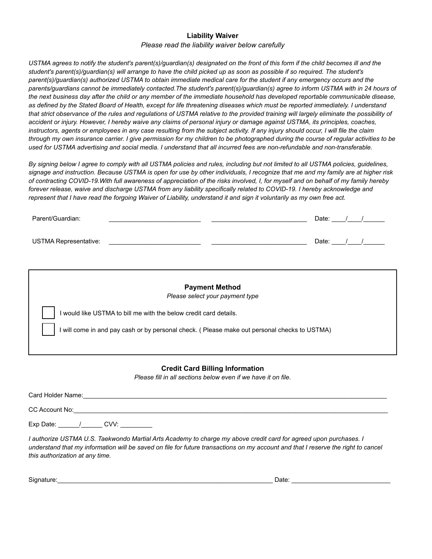#### **Liability Waiver**

## *Please read the liability waiver below carefully*

*USTMA agrees to notify the student's parent(s)/guardian(s) designated on the front of this form if the child becomes ill and the student's parent(s)/guardian(s) will arrange to have the child picked up as soon as possible if so required. The student's parent(s)/guardian(s) authorized USTMA to obtain immediate medical care for the student if any emergency occurs and the parents/guardians cannot be immediately contacted.The student's parent(s)/guardian(s) agree to inform USTMA with in 24 hours of the next business day after the child or any member of the immediate household has developed reportable communicable disease, as defined by the Stated Board of Health, except for life threatening diseases which must be reported immediately. I understand that strict observance of the rules and regulations of USTMA relative to the provided training will largely eliminate the possibility of accident or injury. However, I hereby waive any claims of personal injury or damage against USTMA, its principles, coaches, instructors, agents or employees in any case resulting from the subject activity. If any injury should occur, I will file the claim through my own insurance carrier. I give permission for my children to be photographed during the course of regular activities to be used for USTMA advertising and social media. I understand that all incurred fees are non-refundable and non-transferable.*

*By signing below I agree to comply with all USTMA policies and rules, including but not limited to all USTMA policies, guidelines, signage and instruction. Because USTMA is open for use by other individuals, I recognize that me and my family are at higher risk of contracting COVID-19.With full awareness of appreciation of the risks involved, I, for myself and on behalf of my family hereby forever release, waive and discharge USTMA from any liability specifically related to COVID-19. I hereby acknowledge and represent that I have read the forgoing Waiver of Liability, understand it and sign it voluntarily as my own free act.*

| Parent/Guardian:             |  | Date: |  |
|------------------------------|--|-------|--|
| <b>USTMA Representative:</b> |  | Date: |  |

| <b>Payment Method</b><br>Please select your payment type                                     |
|----------------------------------------------------------------------------------------------|
| would like USTMA to bill me with the below credit card details.                              |
| I will come in and pay cash or by personal check. (Please make out personal checks to USTMA) |
|                                                                                              |

## **Credit Card Billing Information**

*Please fill in all sections below even if we have it on file.*

| Card Holder Name: |      |  |  |  |
|-------------------|------|--|--|--|
| CC Account No:    |      |  |  |  |
| Exp Date:         | CVV: |  |  |  |

*I authorize USTMA U.S. Taekwondo Martial Arts Academy to charge my above credit card for agreed upon purchases. I understand that my information will be saved on file for future transactions on my account and that I reserve the right to cancel this authorization at any time.*

Signature:\_\_\_\_\_\_\_\_\_\_\_\_\_\_\_\_\_\_\_\_\_\_\_\_\_\_\_\_\_\_\_\_\_\_\_\_\_\_\_\_\_\_\_\_\_\_\_\_\_\_\_\_\_\_\_\_\_\_\_\_\_ Date: \_\_\_\_\_\_\_\_\_\_\_\_\_\_\_\_\_\_\_\_\_\_\_\_\_\_\_\_